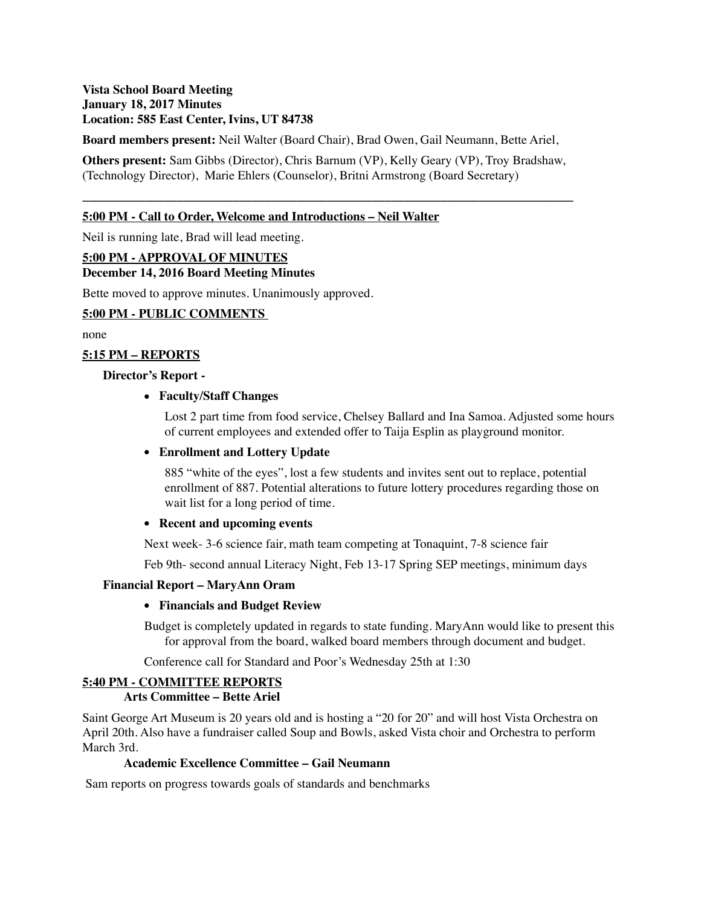# **Vista School Board Meeting January 18, 2017 Minutes Location: 585 East Center, Ivins, UT 84738**

**Board members present:** Neil Walter (Board Chair), Brad Owen, Gail Neumann, Bette Ariel,

**Others present:** Sam Gibbs (Director), Chris Barnum (VP), Kelly Geary (VP), Troy Bradshaw, (Technology Director), Marie Ehlers (Counselor), Britni Armstrong (Board Secretary)

**\_\_\_\_\_\_\_\_\_\_\_\_\_\_\_\_\_\_\_\_\_\_\_\_\_\_\_\_\_\_\_\_\_\_\_\_\_\_\_\_\_\_\_\_\_\_\_\_\_\_\_\_\_\_\_\_\_\_\_\_\_\_\_\_\_\_\_\_\_\_\_\_\_\_\_\_\_\_**

## **5:00 PM - Call to Order, Welcome and Introductions – Neil Walter**

Neil is running late, Brad will lead meeting.

#### **5:00 PM - APPROVAL OF MINUTES**

#### **December 14, 2016 Board Meeting Minutes**

Bette moved to approve minutes. Unanimously approved.

## **5:00 PM - PUBLIC COMMENTS**

none

## **5:15 PM – REPORTS**

#### **Director's Report -**

## **• Faculty/Staff Changes**

Lost 2 part time from food service, Chelsey Ballard and Ina Samoa. Adjusted some hours of current employees and extended offer to Taija Esplin as playground monitor.

#### **• Enrollment and Lottery Update**

885 "white of the eyes", lost a few students and invites sent out to replace, potential enrollment of 887. Potential alterations to future lottery procedures regarding those on wait list for a long period of time.

#### **• Recent and upcoming events**

Next week- 3-6 science fair, math team competing at Tonaquint, 7-8 science fair

Feb 9th- second annual Literacy Night, Feb 13-17 Spring SEP meetings, minimum days

## **Financial Report – MaryAnn Oram**

## **• Financials and Budget Review**

Budget is completely updated in regards to state funding. MaryAnn would like to present this for approval from the board, walked board members through document and budget.

Conference call for Standard and Poor's Wednesday 25th at 1:30

## **5:40 PM - COMMITTEE REPORTS**

## **Arts Committee – Bette Ariel**

Saint George Art Museum is 20 years old and is hosting a "20 for 20" and will host Vista Orchestra on April 20th. Also have a fundraiser called Soup and Bowls, asked Vista choir and Orchestra to perform March 3rd.

## **Academic Excellence Committee – Gail Neumann**

Sam reports on progress towards goals of standards and benchmarks